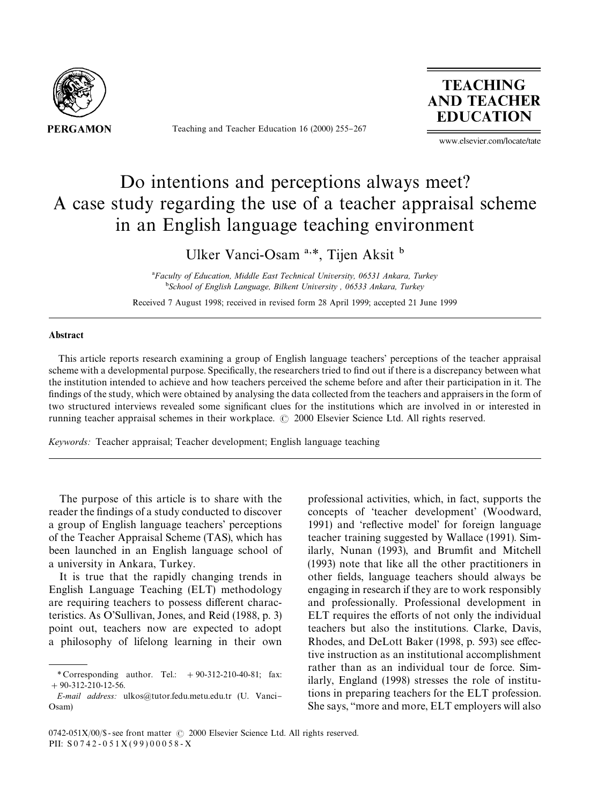

Teaching and Teacher Education  $16(2000) 255-267$ 



www.elsevier.com/locate/tate

# Do intentions and perceptions always meet? A case study regarding the use of a teacher appraisal scheme in an English language teaching environment

Ulker Vanci-Osam<sup>a,\*</sup>, Tijen Aksit <sup>b</sup>

!*Faculty of Education, Middle East Technical University, 06531 Ankara, Turkey* "*School of English Language, Bilkent University , 06533 Ankara, Turkey*

Received 7 August 1998; received in revised form 28 April 1999; accepted 21 June 1999

#### **Abstract**

This article reports research examining a group of English language teachers' perceptions of the teacher appraisal scheme with a developmental purpose. Specifically, the researchers tried to find out if there is a discrepancy between what the institution intended to achieve and how teachers perceived the scheme before and after their participation in it. The findings of the study, which were obtained by analysing the data collected from the teachers and appraisers in the form of two structured interviews revealed some significant clues for the institutions which are involved in or interested in running teacher appraisal schemes in their workplace.  $\odot$  2000 Elsevier Science Ltd. All rights reserved.

*Keywords:* Teacher appraisal; Teacher development; English language teaching

The purpose of this article is to share with the reader the findings of a study conducted to discover a group of English language teachers' perceptions of the Teacher Appraisal Scheme (TAS), which has been launched in an English language school of a university in Ankara, Turkey.

It is true that the rapidly changing trends in English Language Teaching (ELT) methodology are requiring teachers to possess different characteristics. As O'Sullivan, Jones, and Reid (1988, p. 3) point out, teachers now are expected to adopt a philosophy of lifelong learning in their own

professional activities, which, in fact, supports the concepts of 'teacher development' (Woodward, 1991) and 'reflective model' for foreign language teacher training suggested by Wallace (1991). Similarly, Nunan (1993), and Brumfit and Mitchell (1993) note that like all the other practitioners in other fields, language teachers should always be engaging in research if they are to work responsibly and professionally. Professional development in ELT requires the efforts of not only the individual teachers but also the institutions. Clarke, Davis, Rhodes, and DeLott Baker (1998, p. 593) see effective instruction as an institutional accomplishment rather than as an individual tour de force. Similarly, England (1998) stresses the role of institutions in preparing teachers for the ELT profession. She says, "more and more, ELT employers will also

 $*$  Corresponding author. Tel.:  $+90-312-210-40-81$ ; fax:  $+90-312-210-12-56.$ 

E-mail address: ulkos@tutor.fedu.metu.edu.tr (U. Vanci-Osam)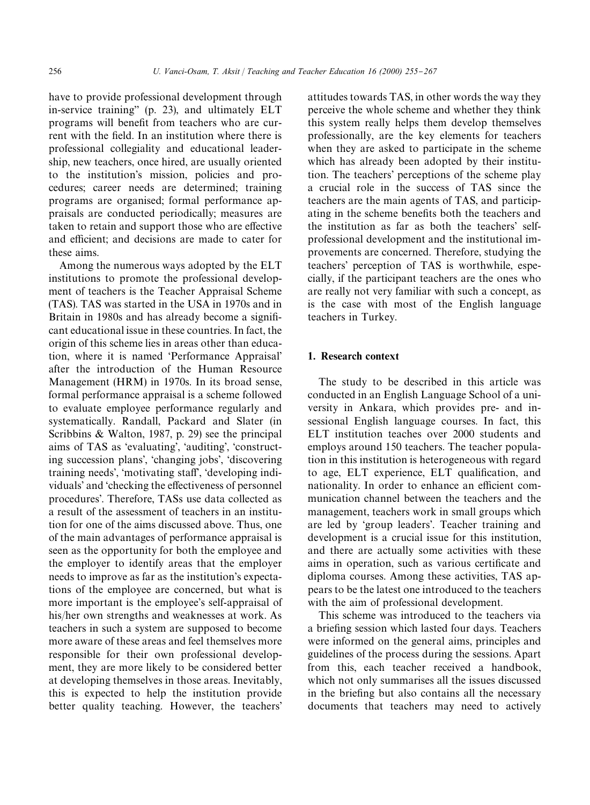have to provide professional development through in-service training" (p. 23), and ultimately  $ELT$ programs will benefit from teachers who are current with the field. In an institution where there is professional collegiality and educational leadership, new teachers, once hired, are usually oriented to the institution's mission, policies and procedures; career needs are determined; training programs are organised; formal performance appraisals are conducted periodically; measures are taken to retain and support those who are effective and efficient; and decisions are made to cater for these aims.

Among the numerous ways adopted by the ELT institutions to promote the professional development of teachers is the Teacher Appraisal Scheme (TAS). TAS was started in the USA in 1970s and in Britain in 1980s and has already become a significant educational issue in these countries. In fact, the origin of this scheme lies in areas other than education, where it is named 'Performance Appraisal' after the introduction of the Human Resource Management (HRM) in 1970s. In its broad sense, formal performance appraisal is a scheme followed to evaluate employee performance regularly and systematically. Randall, Packard and Slater (in Scribbins & Walton, 1987, p. 29) see the principal aims of TAS as 'evaluating', 'auditing', 'constructing succession plans', 'changing jobs', 'discovering training needs', 'motivating staff', 'developing individuals' and 'checking the effectiveness of personnel procedures'. Therefore, TASs use data collected as a result of the assessment of teachers in an institution for one of the aims discussed above. Thus, one of the main advantages of performance appraisal is seen as the opportunity for both the employee and the employer to identify areas that the employer needs to improve as far as the institution's expectations of the employee are concerned, but what is more important is the employee's self-appraisal of his/her own strengths and weaknesses at work. As teachers in such a system are supposed to become more aware of these areas and feel themselves more responsible for their own professional development, they are more likely to be considered better at developing themselves in those areas. Inevitably, this is expected to help the institution provide better quality teaching. However, the teachers'

attitudes towards TAS, in other words the way they perceive the whole scheme and whether they think this system really helps them develop themselves professionally, are the key elements for teachers when they are asked to participate in the scheme which has already been adopted by their institution. The teachers' perceptions of the scheme play a crucial role in the success of TAS since the teachers are the main agents of TAS, and participating in the scheme benefits both the teachers and the institution as far as both the teachers' selfprofessional development and the institutional improvements are concerned. Therefore, studying the teachers' perception of TAS is worthwhile, especially, if the participant teachers are the ones who are really not very familiar with such a concept, as is the case with most of the English language teachers in Turkey.

#### 1. Research context

The study to be described in this article was conducted in an English Language School of a university in Ankara, which provides pre- and insessional English language courses. In fact, this ELT institution teaches over 2000 students and employs around 150 teachers. The teacher population in this institution is heterogeneous with regard to age, ELT experience, ELT qualification, and nationality. In order to enhance an efficient communication channel between the teachers and the management, teachers work in small groups which are led by 'group leaders'. Teacher training and development is a crucial issue for this institution, and there are actually some activities with these aims in operation, such as various certificate and diploma courses. Among these activities, TAS appears to be the latest one introduced to the teachers with the aim of professional development.

This scheme was introduced to the teachers via a briefing session which lasted four days. Teachers were informed on the general aims, principles and guidelines of the process during the sessions. Apart from this, each teacher received a handbook, which not only summarises all the issues discussed in the briefing but also contains all the necessary documents that teachers may need to actively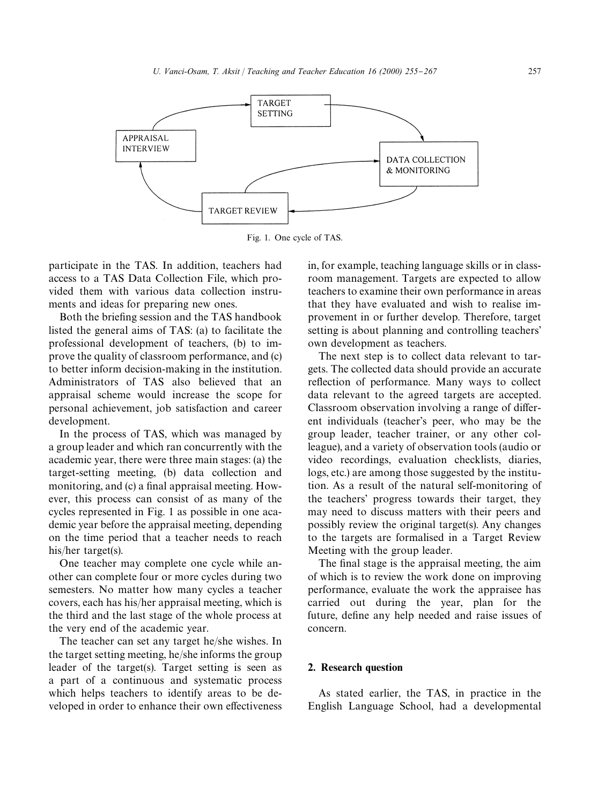

Fig. 1. One cycle of TAS.

participate in the TAS. In addition, teachers had access to a TAS Data Collection File, which provided them with various data collection instruments and ideas for preparing new ones.

Both the briefing session and the TAS handbook listed the general aims of TAS: (a) to facilitate the professional development of teachers, (b) to improve the quality of classroom performance, and (c) to better inform decision-making in the institution. Administrators of TAS also believed that an appraisal scheme would increase the scope for personal achievement, job satisfaction and career development.

In the process of TAS, which was managed by a group leader and which ran concurrently with the academic year, there were three main stages: (a) the target-setting meeting, (b) data collection and monitoring, and (c) a final appraisal meeting. However, this process can consist of as many of the cycles represented in Fig. 1 as possible in one academic year before the appraisal meeting, depending on the time period that a teacher needs to reach his/her target(s).

One teacher may complete one cycle while another can complete four or more cycles during two semesters. No matter how many cycles a teacher covers, each has his/her appraisal meeting, which is the third and the last stage of the whole process at the very end of the academic year.

The teacher can set any target he/she wishes. In the target setting meeting, he/she informs the group leader of the target(s). Target setting is seen as a part of a continuous and systematic process which helps teachers to identify areas to be developed in order to enhance their own effectiveness in, for example, teaching language skills or in classroom management. Targets are expected to allow teachers to examine their own performance in areas that they have evaluated and wish to realise improvement in or further develop. Therefore, target setting is about planning and controlling teachers' own development as teachers.

The next step is to collect data relevant to targets. The collected data should provide an accurate reflection of performance. Many ways to collect data relevant to the agreed targets are accepted. Classroom observation involving a range of different individuals (teacher's peer, who may be the group leader, teacher trainer, or any other colleague), and a variety of observation tools (audio or video recordings, evaluation checklists, diaries, logs, etc.) are among those suggested by the institution. As a result of the natural self-monitoring of the teachers' progress towards their target, they may need to discuss matters with their peers and possibly review the original target(s). Any changes to the targets are formalised in a Target Review Meeting with the group leader.

The final stage is the appraisal meeting, the aim of which is to review the work done on improving performance, evaluate the work the appraisee has carried out during the year, plan for the future, define any help needed and raise issues of concern.

#### 2. Research question

As stated earlier, the TAS, in practice in the English Language School, had a developmental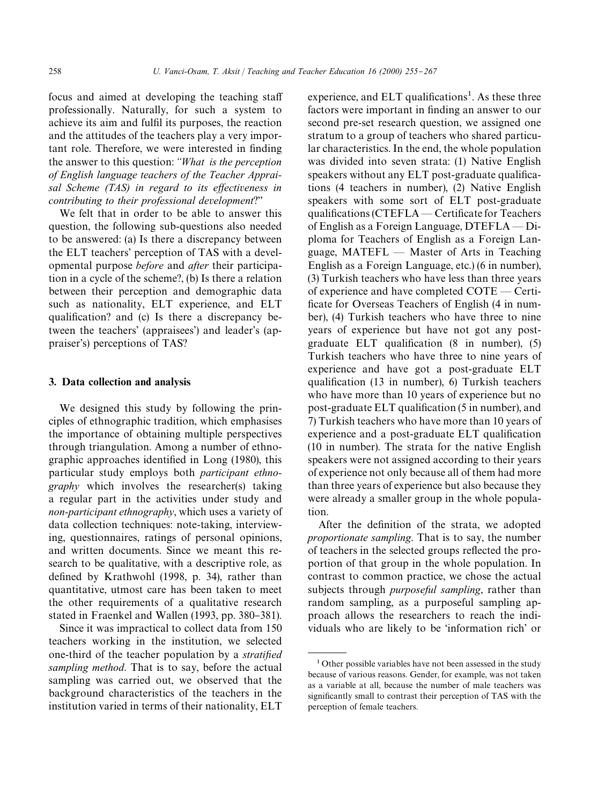focus and aimed at developing the teaching staff professionally. Naturally, for such a system to achieve its aim and fulfil its purposes, the reaction and the attitudes of the teachers play a very important role. Therefore, we were interested in finding the answer to this question: \*\**What is the perception of English language teachers of the Teacher Appraisal Scheme (TAS) in regard to its effectiveness in contributing to their professional development?"* 

We felt that in order to be able to answer this question, the following sub-questions also needed to be answered: (a) Is there a discrepancy between the ELT teachers' perception of TAS with a developmental purpose *before* and *after* their participation in a cycle of the scheme?, (b) Is there a relation between their perception and demographic data such as nationality, ELT experience, and ELT qualification? and (c) Is there a discrepancy between the teachers' (appraisees') and leader's (appraiser's) perceptions of TAS?

#### 3. Data collection and analysis

We designed this study by following the principles of ethnographic tradition, which emphasises the importance of obtaining multiple perspectives through triangulation. Among a number of ethnographic approaches identified in Long (1980), this particular study employs both *participant ethnography* which involves the researcher(s) taking a regular part in the activities under study and *non-participant ethnography*, which uses a variety of data collection techniques: note-taking, interviewing, questionnaires, ratings of personal opinions, and written documents. Since we meant this research to be qualitative, with a descriptive role, as defined by Krathwohl (1998, p. 34), rather than quantitative, utmost care has been taken to meet the other requirements of a qualitative research stated in Fraenkel and Wallen  $(1993, pp. 380-381)$ .

Since it was impractical to collect data from 150 teachers working in the institution, we selected one-third of the teacher population by a *stratified sampling method*. That is to say, before the actual sampling was carried out, we observed that the background characteristics of the teachers in the institution varied in terms of their nationality, ELT

experience, and ELT qualifications<sup>1</sup>. As these three factors were important in finding an answer to our second pre-set research question, we assigned one stratum to a group of teachers who shared particular characteristics. In the end, the whole population was divided into seven strata: (1) Native English speakers without any ELT post-graduate qualifications (4 teachers in number), (2) Native English speakers with some sort of ELT post-graduate qualifications (CTEFLA  $-$  Certificate for Teachers of English as a Foreign Language,  $DTEFLA - Di$ ploma for Teachers of English as a Foreign Language,  $MATEFL - Master of Arts in Teaching$ English as a Foreign Language, etc.) (6 in number), (3) Turkish teachers who have less than three years of experience and have completed  $COTE - C$ ertificate for Overseas Teachers of English (4 in number), (4) Turkish teachers who have three to nine years of experience but have not got any postgraduate ELT qualification  $(8 \text{ in number})$ ,  $(5)$ Turkish teachers who have three to nine years of experience and have got a post-graduate ELT qualification  $(13$  in number),  $6)$  Turkish teachers who have more than 10 years of experience but no post-graduate ELT qualification (5 in number), and 7) Turkish teachers who have more than 10 years of experience and a post-graduate ELT qualification (10 in number). The strata for the native English speakers were not assigned according to their years of experience not only because all of them had more than three years of experience but also because they were already a smaller group in the whole population.

After the definition of the strata, we adopted *proportionate sampling*. That is to say, the number of teachers in the selected groups reflected the proportion of that group in the whole population. In contrast to common practice, we chose the actual subjects through *purposeful sampling*, rather than random sampling, as a purposeful sampling approach allows the researchers to reach the individuals who are likely to be 'information rich' or

<sup>&</sup>lt;sup>1</sup> Other possible variables have not been assessed in the study because of various reasons. Gender, for example, was not taken as a variable at all, because the number of male teachers was significantly small to contrast their perception of TAS with the perception of female teachers.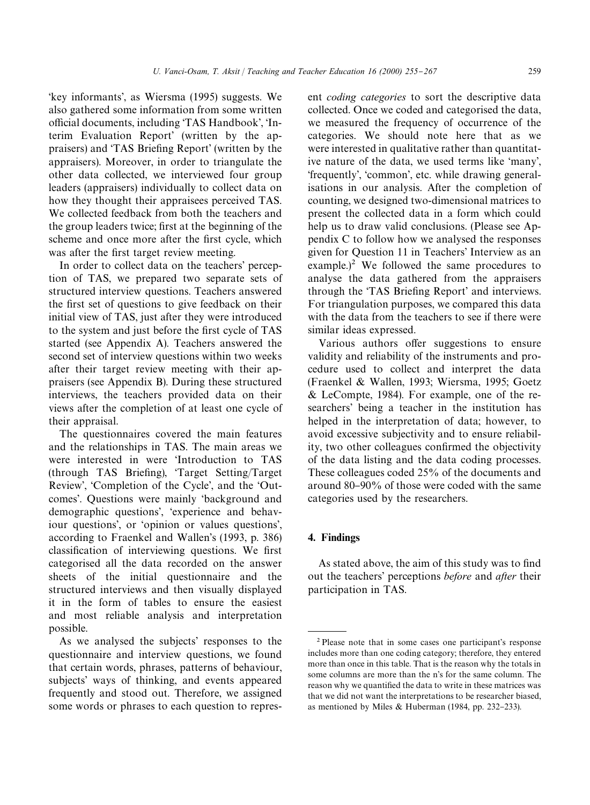'key informants', as Wiersma (1995) suggests. We also gathered some information from some written official documents, including 'TAS Handbook', 'Interim Evaluation Report' (written by the appraisers) and 'TAS Briefing Report' (written by the appraisers). Moreover, in order to triangulate the other data collected, we interviewed four group leaders (appraisers) individually to collect data on how they thought their appraisees perceived TAS. We collected feedback from both the teachers and the group leaders twice; first at the beginning of the scheme and once more after the first cycle, which was after the first target review meeting.

In order to collect data on the teachers' perception of TAS, we prepared two separate sets of structured interview questions. Teachers answered the first set of questions to give feedback on their initial view of TAS, just after they were introduced to the system and just before the first cycle of TAS started (see Appendix A). Teachers answered the second set of interview questions within two weeks after their target review meeting with their appraisers (see Appendix B). During these structured interviews, the teachers provided data on their views after the completion of at least one cycle of their appraisal.

The questionnaires covered the main features and the relationships in TAS. The main areas we were interested in were 'Introduction to TAS (through TAS Briefing), 'Target Setting/Target Review', 'Completion of the Cycle', and the 'Outcomes'. Questions were mainly 'background and demographic questions', 'experience and behaviour questions', or 'opinion or values questions', according to Fraenkel and Wallen's (1993, p. 386) classification of interviewing questions. We first categorised all the data recorded on the answer sheets of the initial questionnaire and the structured interviews and then visually displayed it in the form of tables to ensure the easiest and most reliable analysis and interpretation possible.

As we analysed the subjects' responses to the questionnaire and interview questions, we found that certain words, phrases, patterns of behaviour, subjects' ways of thinking, and events appeared frequently and stood out. Therefore, we assigned some words or phrases to each question to represent *coding categories* to sort the descriptive data collected. Once we coded and categorised the data, we measured the frequency of occurrence of the categories. We should note here that as we were interested in qualitative rather than quantitative nature of the data, we used terms like 'many', 'frequently', 'common', etc. while drawing generalisations in our analysis. After the completion of counting, we designed two-dimensional matrices to present the collected data in a form which could help us to draw valid conclusions. (Please see Appendix C to follow how we analysed the responses given for Question 11 in Teachers' Interview as an example.)<sup>2</sup> We followed the same procedures to analyse the data gathered from the appraisers through the 'TAS Briefing Report' and interviews. For triangulation purposes, we compared this data with the data from the teachers to see if there were similar ideas expressed.

Various authors offer suggestions to ensure validity and reliability of the instruments and procedure used to collect and interpret the data (Fraenkel & Wallen, 1993; Wiersma, 1995; Goetz & LeCompte, 1984). For example, one of the researchers' being a teacher in the institution has helped in the interpretation of data; however, to avoid excessive subjectivity and to ensure reliability, two other colleagues confirmed the objectivity of the data listing and the data coding processes. These colleagues coded 25% of the documents and around 80–90% of those were coded with the same categories used by the researchers.

### 4. Findings

As stated above, the aim of this study was to find out the teachers' perceptions *before* and *after* their participation in TAS.

<sup>2</sup>Please note that in some cases one participant's response includes more than one coding category; therefore, they entered more than once in this table. That is the reason why the totals in some columns are more than the n's for the same column. The reason why we quantified the data to write in these matrices was that we did not want the interpretations to be researcher biased, as mentioned by Miles & Huberman (1984, pp. 232–233).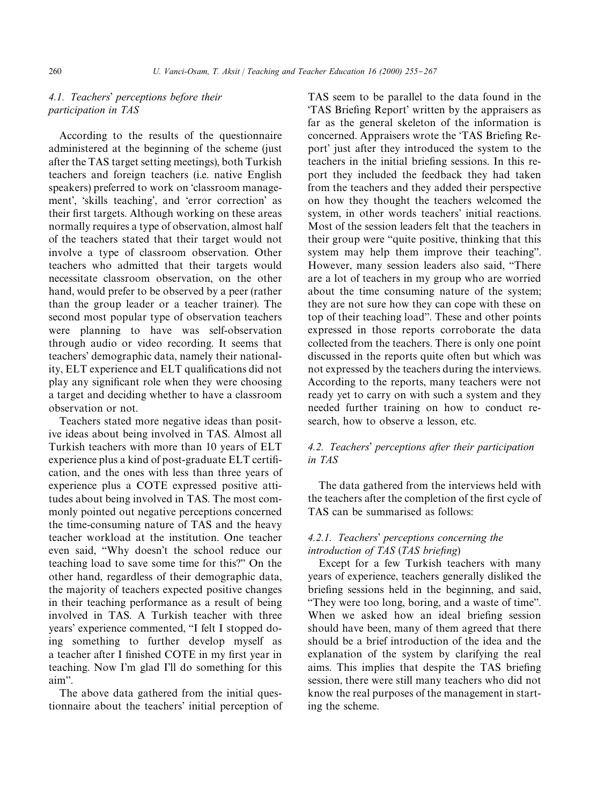# *4.1. Teachers*' *perceptions before their participation in TAS*

According to the results of the questionnaire administered at the beginning of the scheme (just after the TAS target setting meetings), both Turkish teachers and foreign teachers (i.e. native English speakers) preferred to work on 'classroom management', 'skills teaching', and 'error correction' as their first targets. Although working on these areas normally requires a type of observation, almost half of the teachers stated that their target would not involve a type of classroom observation. Other teachers who admitted that their targets would necessitate classroom observation, on the other hand, would prefer to be observed by a peer (rather than the group leader or a teacher trainer). The second most popular type of observation teachers were planning to have was self-observation through audio or video recording. It seems that teachers' demographic data, namely their nationality, ELT experience and ELT qualifications did not play any significant role when they were choosing a target and deciding whether to have a classroom observation or not.

Teachers stated more negative ideas than positive ideas about being involved in TAS. Almost all Turkish teachers with more than 10 years of ELT experience plus a kind of post-graduate ELT certification, and the ones with less than three years of experience plus a COTE expressed positive attitudes about being involved in TAS. The most commonly pointed out negative perceptions concerned the time-consuming nature of TAS and the heavy teacher workload at the institution. One teacher even said, "Why doesn't the school reduce our teaching load to save some time for this?" On the other hand, regardless of their demographic data, the majority of teachers expected positive changes in their teaching performance as a result of being involved in TAS. A Turkish teacher with three years' experience commented, "I felt I stopped doing something to further develop myself as a teacher after I finished COTE in my first year in teaching. Now I'm glad I'll do something for this aim".

The above data gathered from the initial questionnaire about the teachers' initial perception of

TAS seem to be parallel to the data found in the TAS Briefing Report' written by the appraisers as far as the general skeleton of the information is concerned. Appraisers wrote the 'TAS Briefing Report' just after they introduced the system to the teachers in the initial briefing sessions. In this report they included the feedback they had taken from the teachers and they added their perspective on how they thought the teachers welcomed the system, in other words teachers' initial reactions. Most of the session leaders felt that the teachers in their group were "quite positive, thinking that this system may help them improve their teaching". However, many session leaders also said, "There are a lot of teachers in my group who are worried about the time consuming nature of the system; they are not sure how they can cope with these on top of their teaching load". These and other points expressed in those reports corroborate the data collected from the teachers. There is only one point discussed in the reports quite often but which was not expressed by the teachers during the interviews. According to the reports, many teachers were not ready yet to carry on with such a system and they needed further training on how to conduct research, how to observe a lesson, etc.

## *4.2. Teachers*' *perceptions after their participation in TAS*

The data gathered from the interviews held with the teachers after the completion of the first cycle of TAS can be summarised as follows:

# *4.2.1. Teachers*' *perceptions concerning the introduction of TAS* (TAS briefing)

Except for a few Turkish teachers with many years of experience, teachers generally disliked the briefing sessions held in the beginning, and said, "They were too long, boring, and a waste of time". When we asked how an ideal briefing session should have been, many of them agreed that there should be a brief introduction of the idea and the explanation of the system by clarifying the real aims. This implies that despite the TAS briefing session, there were still many teachers who did not know the real purposes of the management in starting the scheme.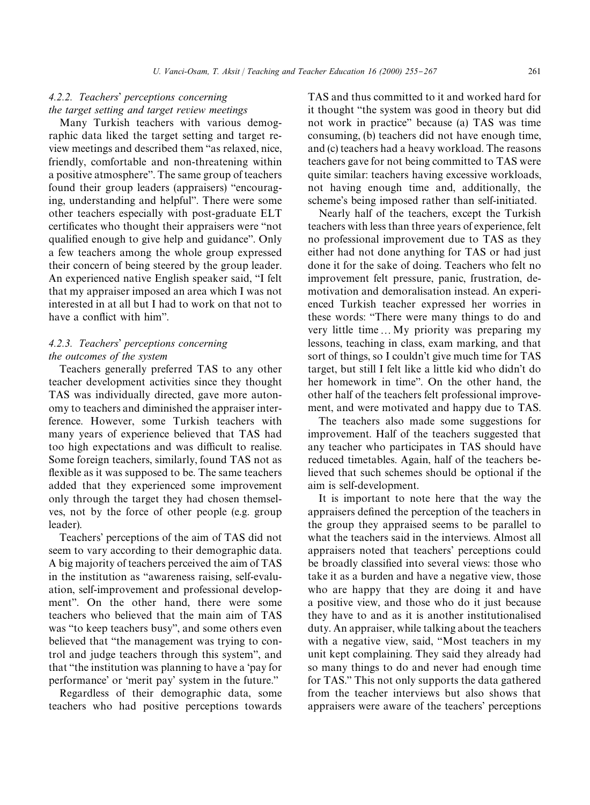### *4.2.2. Teachers*' *perceptions concerning the target setting and target review meetings*

Many Turkish teachers with various demographic data liked the target setting and target review meetings and described them "as relaxed, nice, friendly, comfortable and non-threatening within a positive atmosphere". The same group of teachers found their group leaders (appraisers) "encouraging, understanding and helpful". There were some other teachers especially with post-graduate ELT certificates who thought their appraisers were "not" qualified enough to give help and guidance". Only a few teachers among the whole group expressed their concern of being steered by the group leader. An experienced native English speaker said, "I felt that my appraiser imposed an area which I was not interested in at all but I had to work on that not to have a conflict with him".

## *4.2.3. Teachers*' *perceptions concerning the outcomes of the system*

Teachers generally preferred TAS to any other teacher development activities since they thought TAS was individually directed, gave more autonomy to teachers and diminished the appraiser interference. However, some Turkish teachers with many years of experience believed that TAS had too high expectations and was difficult to realise. Some foreign teachers, similarly, found TAS not as flexible as it was supposed to be. The same teachers added that they experienced some improvement only through the target they had chosen themselves, not by the force of other people (e.g. group leader).

Teachers' perceptions of the aim of TAS did not seem to vary according to their demographic data. A big majority of teachers perceived the aim of TAS in the institution as "awareness raising, self-evaluation, self-improvement and professional development". On the other hand, there were some teachers who believed that the main aim of TAS was "to keep teachers busy", and some others even believed that "the management was trying to control and judge teachers through this system", and that "the institution was planning to have a 'pay for performance' or 'merit pay' system in the future."

Regardless of their demographic data, some teachers who had positive perceptions towards TAS and thus committed to it and worked hard for it thought "the system was good in theory but did not work in practice" because (a) TAS was time consuming, (b) teachers did not have enough time, and (c) teachers had a heavy workload. The reasons teachers gave for not being committed to TAS were quite similar: teachers having excessive workloads, not having enough time and, additionally, the scheme's being imposed rather than self-initiated.

Nearly half of the teachers, except the Turkish teachers with less than three years of experience, felt no professional improvement due to TAS as they either had not done anything for TAS or had just done it for the sake of doing. Teachers who felt no improvement felt pressure, panic, frustration, demotivation and demoralisation instead. An experienced Turkish teacher expressed her worries in these words: "There were many things to do and very little time... My priority was preparing my lessons, teaching in class, exam marking, and that sort of things, so I couldn't give much time for TAS target, but still I felt like a little kid who didn't do her homework in time". On the other hand, the other half of the teachers felt professional improvement, and were motivated and happy due to TAS.

The teachers also made some suggestions for improvement. Half of the teachers suggested that any teacher who participates in TAS should have reduced timetables. Again, half of the teachers believed that such schemes should be optional if the aim is self-development.

It is important to note here that the way the appraisers defined the perception of the teachers in the group they appraised seems to be parallel to what the teachers said in the interviews. Almost all appraisers noted that teachers' perceptions could be broadly classified into several views: those who take it as a burden and have a negative view, those who are happy that they are doing it and have a positive view, and those who do it just because they have to and as it is another institutionalised duty. An appraiser, while talking about the teachers with a negative view, said, "Most teachers in my unit kept complaining. They said they already had so many things to do and never had enough time for TAS." This not only supports the data gathered from the teacher interviews but also shows that appraisers were aware of the teachers' perceptions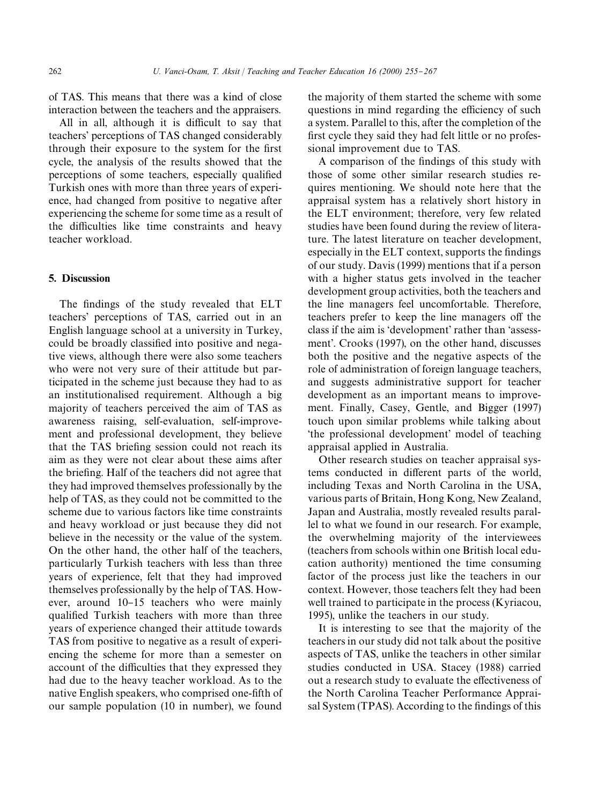of TAS. This means that there was a kind of close interaction between the teachers and the appraisers.

All in all, although it is difficult to say that teachers' perceptions of TAS changed considerably through their exposure to the system for the first cycle, the analysis of the results showed that the perceptions of some teachers, especially qualified Turkish ones with more than three years of experience, had changed from positive to negative after experiencing the scheme for some time as a result of the difficulties like time constraints and heavy teacher workload.

#### 5. Discussion

The findings of the study revealed that ELT teachers' perceptions of TAS, carried out in an English language school at a university in Turkey, could be broadly classified into positive and negative views, although there were also some teachers who were not very sure of their attitude but participated in the scheme just because they had to as an institutionalised requirement. Although a big majority of teachers perceived the aim of TAS as awareness raising, self-evaluation, self-improvement and professional development, they believe that the TAS briefing session could not reach its aim as they were not clear about these aims after the briefing. Half of the teachers did not agree that they had improved themselves professionally by the help of TAS, as they could not be committed to the scheme due to various factors like time constraints and heavy workload or just because they did not believe in the necessity or the value of the system. On the other hand, the other half of the teachers, particularly Turkish teachers with less than three years of experience, felt that they had improved themselves professionally by the help of TAS. However, around 10-15 teachers who were mainly qualified Turkish teachers with more than three years of experience changed their attitude towards TAS from positive to negative as a result of experiencing the scheme for more than a semester on account of the difficulties that they expressed they had due to the heavy teacher workload. As to the native English speakers, who comprised one-fifth of our sample population (10 in number), we found

the majority of them started the scheme with some questions in mind regarding the efficiency of such a system. Parallel to this, after the completion of the first cycle they said they had felt little or no professional improvement due to TAS.

A comparison of the findings of this study with those of some other similar research studies requires mentioning. We should note here that the appraisal system has a relatively short history in the ELT environment; therefore, very few related studies have been found during the review of literature. The latest literature on teacher development, especially in the ELT context, supports the findings of our study. Davis (1999) mentions that if a person with a higher status gets involved in the teacher development group activities, both the teachers and the line managers feel uncomfortable. Therefore, teachers prefer to keep the line managers off the class if the aim is 'development' rather than 'assessment'. Crooks (1997), on the other hand, discusses both the positive and the negative aspects of the role of administration of foreign language teachers, and suggests administrative support for teacher development as an important means to improvement. Finally, Casey, Gentle, and Bigger (1997) touch upon similar problems while talking about 'the professional development' model of teaching appraisal applied in Australia.

Other research studies on teacher appraisal systems conducted in different parts of the world, including Texas and North Carolina in the USA, various parts of Britain, Hong Kong, New Zealand, Japan and Australia, mostly revealed results parallel to what we found in our research. For example, the overwhelming majority of the interviewees (teachers from schools within one British local education authority) mentioned the time consuming factor of the process just like the teachers in our context. However, those teachers felt they had been well trained to participate in the process (Kyriacou, 1995), unlike the teachers in our study.

It is interesting to see that the majority of the teachers in our study did not talk about the positive aspects of TAS, unlike the teachers in other similar studies conducted in USA. Stacey (1988) carried out a research study to evaluate the effectiveness of the North Carolina Teacher Performance Appraisal System (TPAS). According to the findings of this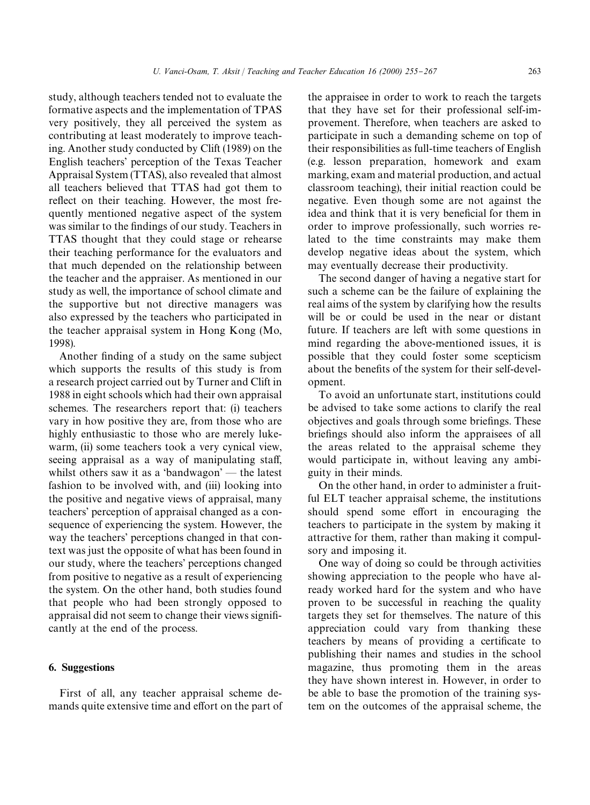study, although teachers tended not to evaluate the formative aspects and the implementation of TPAS very positively, they all perceived the system as contributing at least moderately to improve teaching. Another study conducted by Clift (1989) on the English teachers' perception of the Texas Teacher Appraisal System (TTAS), also revealed that almost all teachers believed that TTAS had got them to reflect on their teaching. However, the most frequently mentioned negative aspect of the system was similar to the findings of our study. Teachers in TTAS thought that they could stage or rehearse their teaching performance for the evaluators and that much depended on the relationship between the teacher and the appraiser. As mentioned in our study as well, the importance of school climate and the supportive but not directive managers was also expressed by the teachers who participated in the teacher appraisal system in Hong Kong (Mo, 1998).

Another finding of a study on the same subject which supports the results of this study is from a research project carried out by Turner and Clift in 1988 in eight schools which had their own appraisal schemes. The researchers report that: (i) teachers vary in how positive they are, from those who are highly enthusiastic to those who are merely lukewarm, (ii) some teachers took a very cynical view, seeing appraisal as a way of manipulating staff, whilst others saw it as a 'bandwagon'  $-$  the latest fashion to be involved with, and (iii) looking into the positive and negative views of appraisal, many teachers' perception of appraisal changed as a consequence of experiencing the system. However, the way the teachers' perceptions changed in that context was just the opposite of what has been found in our study, where the teachers' perceptions changed from positive to negative as a result of experiencing the system. On the other hand, both studies found that people who had been strongly opposed to appraisal did not seem to change their views significantly at the end of the process.

#### 6. Suggestions

First of all, any teacher appraisal scheme demands quite extensive time and effort on the part of the appraisee in order to work to reach the targets that they have set for their professional self-improvement. Therefore, when teachers are asked to participate in such a demanding scheme on top of their responsibilities as full-time teachers of English (e.g. lesson preparation, homework and exam marking, exam and material production, and actual classroom teaching), their initial reaction could be negative. Even though some are not against the idea and think that it is very beneficial for them in order to improve professionally, such worries related to the time constraints may make them develop negative ideas about the system, which may eventually decrease their productivity.

The second danger of having a negative start for such a scheme can be the failure of explaining the real aims of the system by clarifying how the results will be or could be used in the near or distant future. If teachers are left with some questions in mind regarding the above-mentioned issues, it is possible that they could foster some scepticism about the benefits of the system for their self-development.

To avoid an unfortunate start, institutions could be advised to take some actions to clarify the real objectives and goals through some briefings. These briefings should also inform the appraisees of all the areas related to the appraisal scheme they would participate in, without leaving any ambiguity in their minds.

On the other hand, in order to administer a fruitful ELT teacher appraisal scheme, the institutions should spend some effort in encouraging the teachers to participate in the system by making it attractive for them, rather than making it compulsory and imposing it.

One way of doing so could be through activities showing appreciation to the people who have already worked hard for the system and who have proven to be successful in reaching the quality targets they set for themselves. The nature of this appreciation could vary from thanking these teachers by means of providing a certificate to publishing their names and studies in the school magazine, thus promoting them in the areas they have shown interest in. However, in order to be able to base the promotion of the training system on the outcomes of the appraisal scheme, the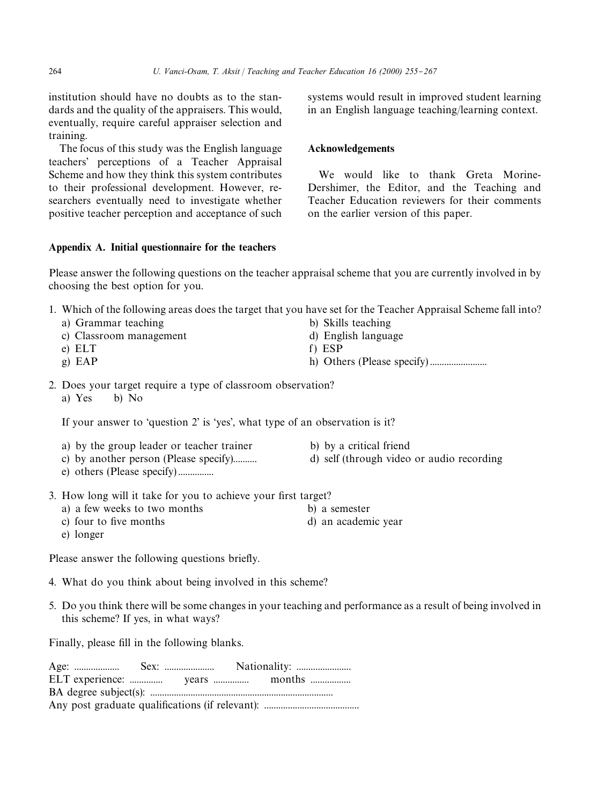institution should have no doubts as to the standards and the quality of the appraisers. This would, eventually, require careful appraiser selection and training.

The focus of this study was the English language teachers' perceptions of a Teacher Appraisal Scheme and how they think this system contributes to their professional development. However, researchers eventually need to investigate whether positive teacher perception and acceptance of such

## Appendix A. Initial questionnaire for the teachers

Please answer the following questions on the teacher appraisal scheme that you are currently involved in by choosing the best option for you.

- 1. Which of the following areas does the target that you have set for the Teacher Appraisal Scheme fall into?
	- a) Grammar teaching b) Skills teaching
	- c) Classroom management d) English language
	- e)  $ELT$  f  $) ESP$
	-
- 2. Does your target require a type of classroom observation? a) Yes b) No

If your answer to 'question 2' is 'yes', what type of an observation is it?

- a) by the group leader or teacher trainer<br>
c) by a critical friend<br>
c) by a nother person (Please specify)..........
- 
- e) others (Please specify) ...............
- 3. How long will it take for you to achieve your first target?<br>a) a few weeks to two months b) a semester
	- a) a few weeks to two months<br>c) four to five months
		- d) an academic year
	- e) longer

Please answer the following questions briefly.

- 4. What do you think about being involved in this scheme?
- 5. Do you think there will be some changes in your teaching and performance as a result of being involved in this scheme? If yes, in what ways?

Finally, please fill in the following blanks.

Age: ................... Sex: ..................... Nationality: ....................... ELT experience: .............. years ............... months ................. BA degree subject(s): ............................................................................. Any post graduate quali"cations (if relevant): ........................................

systems would result in improved student learning in an English language teaching/learning context.

# Acknowledgements

We would like to thank Greta Morine-Dershimer, the Editor, and the Teaching and Teacher Education reviewers for their comments on the earlier version of this paper.

- 
- 
- g) EAP h) Others (Please specify) ........................

d) self (through video or audio recording

- 
-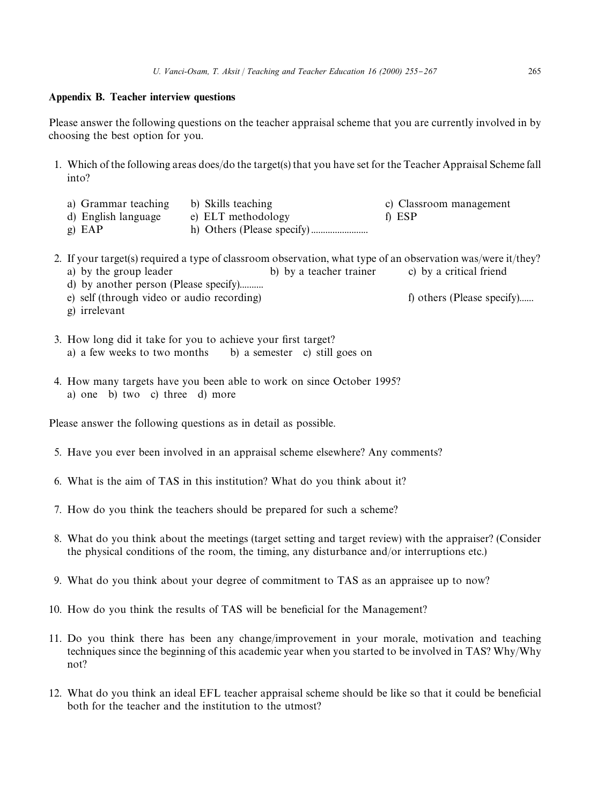## Appendix B. Teacher interview questions

Please answer the following questions on the teacher appraisal scheme that you are currently involved in by choosing the best option for you.

- 1. Which of the following areas does/do the target(s) that you have set for the Teacher Appraisal Scheme fall into?
	- a) Grammar teaching b) Skills teaching c) Classroom management
	- d) English language e) ELT methodology f) ESP
	- g) EAP h) Others (Please specify) ........................
- 2. If your target(s) required a type of classroom observation, what type of an observation was/were it/they? a) by the group leader b) by a teacher trainer c) by a critical friend
	- d) by another person (Please specify)..........
	- e) self (through video or audio recording) f) others (Please specify)......
	- g) irrelevant
- 3. How long did it take for you to achieve your first target?<br>a) a few weeks to two months b) a semester c) still b) a semester c) still goes on
- 4. How many targets have you been able to work on since October 1995? a) one b) two c) three d) more

Please answer the following questions as in detail as possible.

- 5. Have you ever been involved in an appraisal scheme elsewhere? Any comments?
- 6. What is the aim of TAS in this institution? What do you think about it?
- 7. How do you think the teachers should be prepared for such a scheme?
- 8. What do you think about the meetings (target setting and target review) with the appraiser? (Consider the physical conditions of the room, the timing, any disturbance and/or interruptions etc.)
- 9. What do you think about your degree of commitment to TAS as an appraisee up to now?
- 10. How do you think the results of TAS will be beneficial for the Management?
- 11. Do you think there has been any change/improvement in your morale, motivation and teaching techniques since the beginning of this academic year when you started to be involved in TAS? Why/Why not?
- 12. What do you think an ideal EFL teacher appraisal scheme should be like so that it could be beneficial both for the teacher and the institution to the utmost?
- -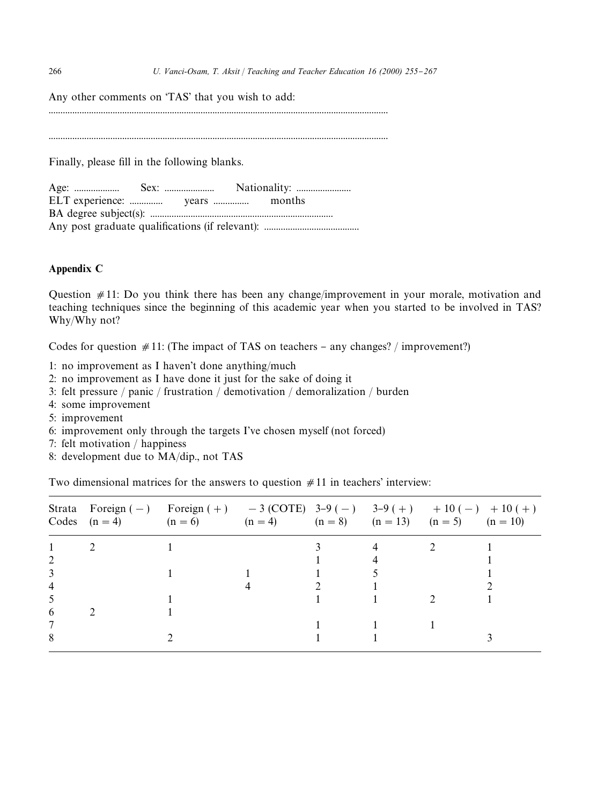Any other comments on 'TAS' that you wish to add:

...............................................................................................................................................

Finally, please fill in the following blanks.

Age: ................... Sex: ..................... Nationality: ....................... ELT experience: .............. years ............... months BA degree subject(s): ............................................................................. Any post graduate quali"cations (if relevant): ........................................

## Appendix C

Question  $\#11$ : Do you think there has been any change/improvement in your morale, motivation and teaching techniques since the beginning of this academic year when you started to be involved in TAS? Why/Why not?

Codes for question  $#11$ : (The impact of TAS on teachers - any changes? / improvement?)

- 1: no improvement as I haven't done anything/much
- 2: no improvement as I have done it just for the sake of doing it
- 3: felt pressure / panic / frustration / demotivation / demoralization / burden
- 4: some improvement
- 5: improvement
- 6: improvement only through the targets I've chosen myself (not forced)
- 7: felt motivation / happiness
- 8: development due to MA/dip., not TAS

Two dimensional matrices for the answers to question  $#11$  in teachers' interview:

|                | Codes $(n = 4)$ | Strata Foreign (-) Foreign (+) -3 (COTE) 3-9 (-) 3-9 (+) + 10 (-) + 10 (+)<br>$(n = 6)$ $(n = 4)$ $(n = 8)$ $(n = 13)$ $(n = 5)$ $(n = 10)$ |  |  |  |
|----------------|-----------------|---------------------------------------------------------------------------------------------------------------------------------------------|--|--|--|
|                |                 |                                                                                                                                             |  |  |  |
| $\mathcal{D}$  |                 |                                                                                                                                             |  |  |  |
| 3              |                 |                                                                                                                                             |  |  |  |
| $\overline{4}$ |                 |                                                                                                                                             |  |  |  |
|                |                 |                                                                                                                                             |  |  |  |
| 6              |                 |                                                                                                                                             |  |  |  |
|                |                 |                                                                                                                                             |  |  |  |
| 8              |                 |                                                                                                                                             |  |  |  |